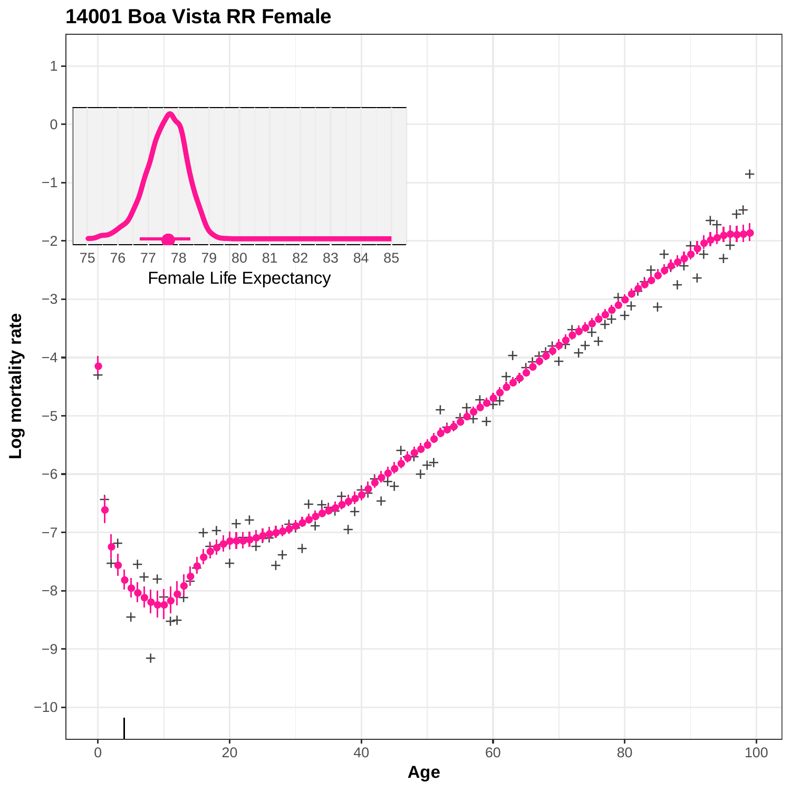

**14001 Boa Vista RR Female**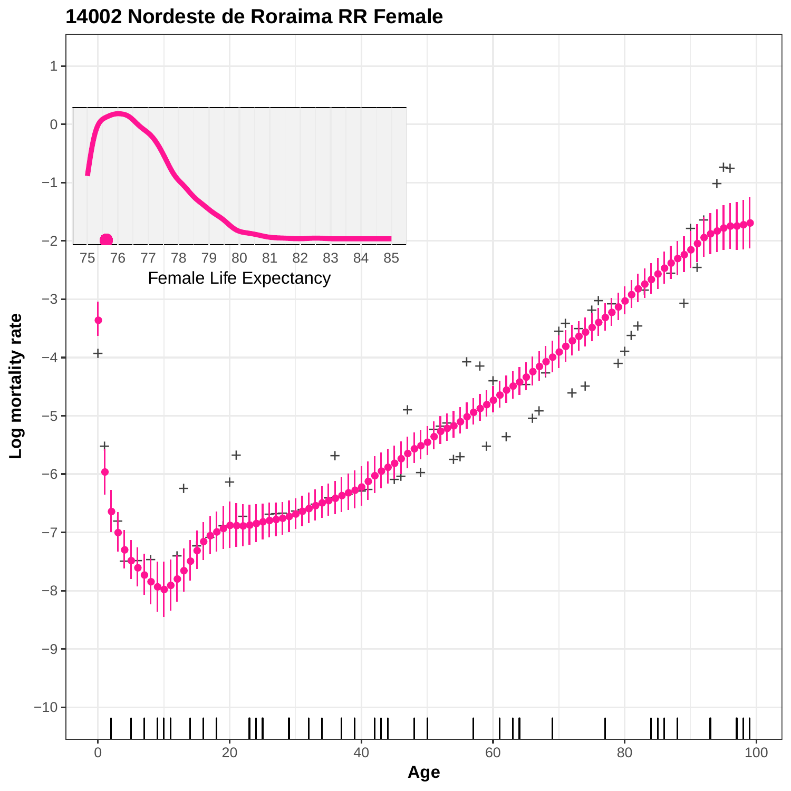

**14002 Nordeste de Roraima RR Female**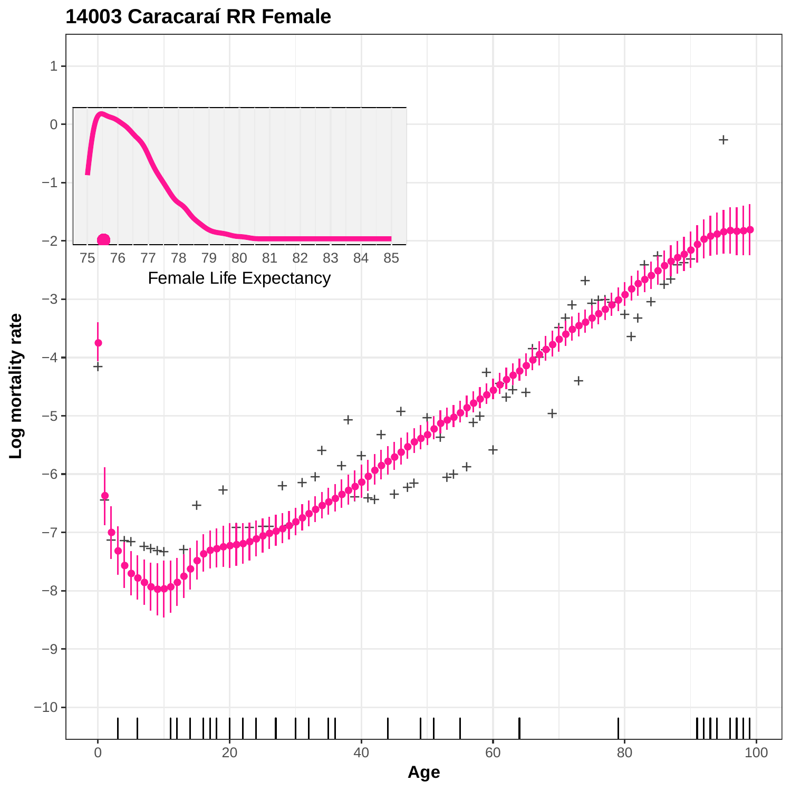